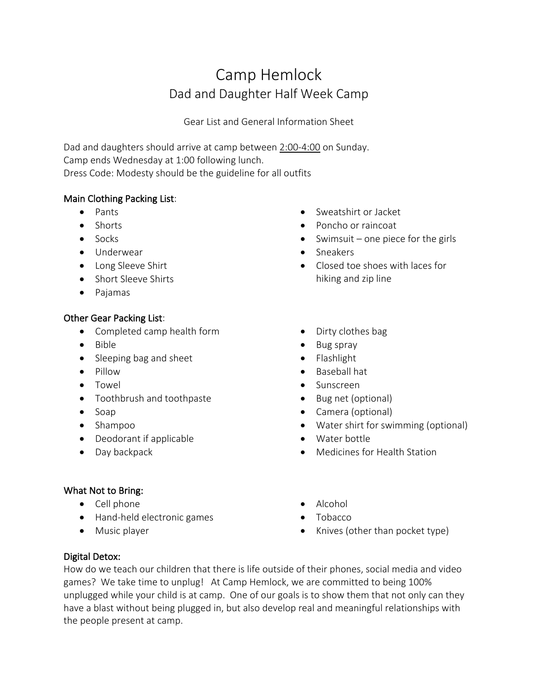# Camp Hemlock Dad and Daughter Half Week Camp

Gear List and General Information Sheet

Dad and daughters should arrive at camp between 2:00-4:00 on Sunday. Camp ends Wednesday at 1:00 following lunch. Dress Code: Modesty should be the guideline for all outfits

# Main Clothing Packing List:

- Pants
- Shorts
- Socks
- Underwear
- Long Sleeve Shirt
- Short Sleeve Shirts
- Pajamas

## Other Gear Packing List:

- Completed camp health form
- Bible
- Sleeping bag and sheet
- Pillow
- Towel
- Toothbrush and toothpaste
- Soap
- Shampoo
- Deodorant if applicable
- Day backpack

## What Not to Bring:

- Cell phone
- Hand-held electronic games
- Music player
- Sweatshirt or Jacket
- Poncho or raincoat
- Swimsuit one piece for the girls
- Sneakers
- Closed toe shoes with laces for hiking and zip line
- Dirty clothes bag
- Bug spray
- Flashlight
- Baseball hat
- Sunscreen
- Bug net (optional)
- Camera (optional)
- Water shirt for swimming (optional)
- Water bottle
- Medicines for Health Station
- Alcohol
- Tobacco
- Knives (other than pocket type)

## Digital Detox:

How do we teach our children that there is life outside of their phones, social media and video games? We take time to unplug! At Camp Hemlock, we are committed to being 100% unplugged while your child is at camp. One of our goals is to show them that not only can they have a blast without being plugged in, but also develop real and meaningful relationships with the people present at camp.